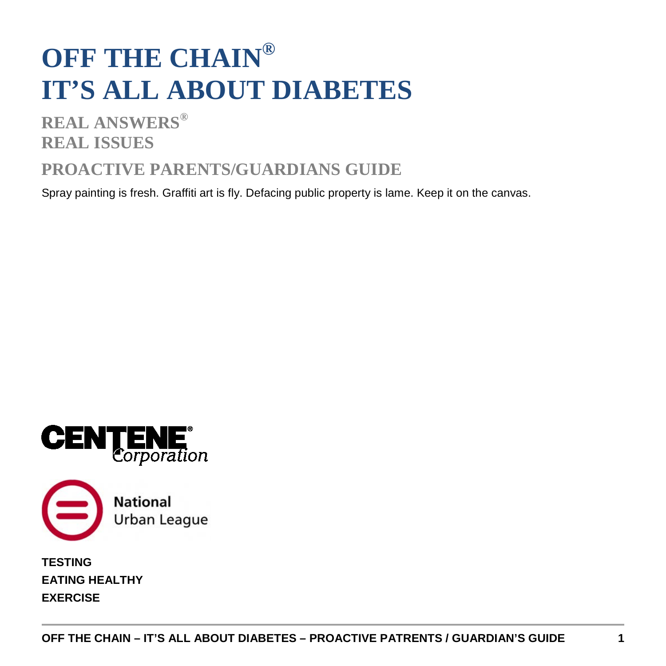# **OFF THE CHAIN® IT'S ALL ABOUT DIABETES**

**REAL ANSWERS® REAL ISSUES**

## **PROACTIVE PARENTS/GUARDIANS GUIDE**

Spray painting is fresh. Graffiti art is fly. Defacing public property is lame. Keep it on the canvas.





**TESTING EATING HEALTHY EXERCISE**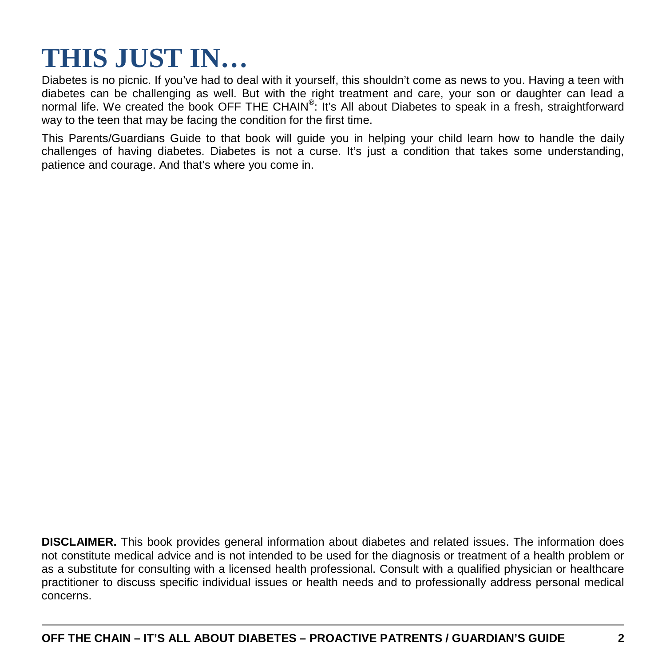## **THIS JUST IN…**

Diabetes is no picnic. If you've had to deal with it yourself, this shouldn't come as news to you. Having a teen with diabetes can be challenging as well. But with the right treatment and care, your son or daughter can lead a normal life. We created the book OFF THE CHAIN®: It's All about Diabetes to speak in a fresh, straightforward way to the teen that may be facing the condition for the first time.

This Parents/Guardians Guide to that book will guide you in helping your child learn how to handle the daily challenges of having diabetes. Diabetes is not a curse. It's just a condition that takes some understanding, patience and courage. And that's where you come in.

**DISCLAIMER.** This book provides general information about diabetes and related issues. The information does not constitute medical advice and is not intended to be used for the diagnosis or treatment of a health problem or as a substitute for consulting with a licensed health professional. Consult with a qualified physician or healthcare practitioner to discuss specific individual issues or health needs and to professionally address personal medical concerns.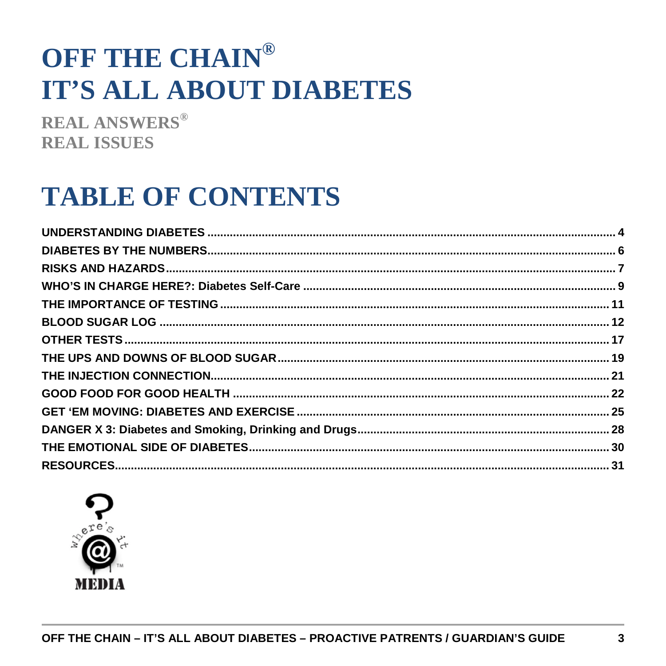# OFF THE CHAIN® **IT'S ALL ABOUT DIABETES**

**REAL ANSWERS® REAL ISSUES** 

# **TABLE OF CONTENTS**

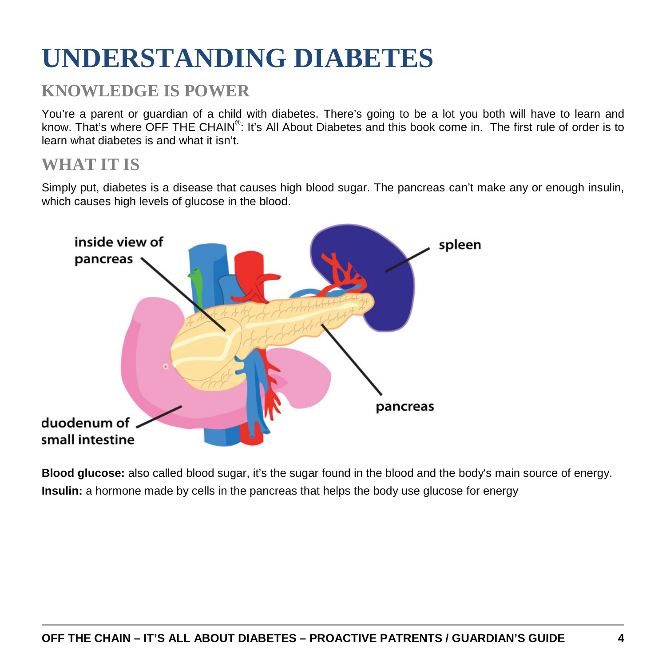# <span id="page-3-0"></span>**UNDERSTANDING DIABETES**

## **KNOWLEDGE IS POWER**

You're a parent or guardian of a child with diabetes. There's going to be a lot you both will have to learn and know. That's where OFF THE CHAIN®: It's All About Diabetes and this book come in. The first rule of order is to learn what diabetes is and what it isn't.

## **WHAT IT IS**

Simply put, diabetes is a disease that causes high blood sugar. The pancreas can't make any or enough insulin, which causes high levels of glucose in the blood.



**Blood glucose:** also called blood sugar, it's the sugar found in the blood and the body's main source of energy. **Insulin:** a hormone made by cells in the pancreas that helps the body use glucose for energy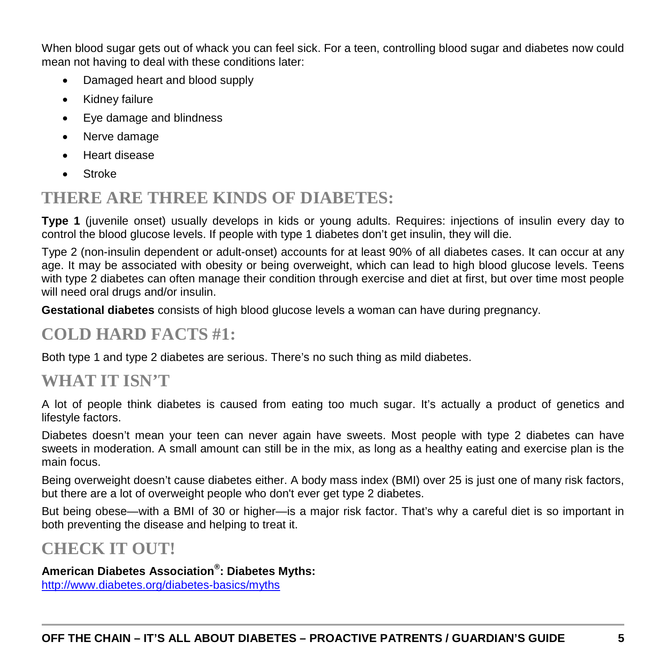When blood sugar gets out of whack you can feel sick. For a teen, controlling blood sugar and diabetes now could mean not having to deal with these conditions later:

- Damaged heart and blood supply
- Kidney failure
- Eye damage and blindness
- Nerve damage
- Heart disease
- Stroke

## **THERE ARE THREE KINDS OF DIABETES:**

**Type 1** (juvenile onset) usually develops in kids or young adults. Requires: injections of insulin every day to control the blood glucose levels. If people with type 1 diabetes don't get insulin, they will die.

Type 2 (non-insulin dependent or adult-onset) accounts for at least 90% of all diabetes cases. It can occur at any age. It may be associated with obesity or being overweight, which can lead to high blood glucose levels. Teens with type 2 diabetes can often manage their condition through exercise and diet at first, but over time most people will need oral drugs and/or insulin.

**Gestational diabetes** consists of high blood glucose levels a woman can have during pregnancy.

## **COLD HARD FACTS #1:**

Both type 1 and type 2 diabetes are serious. There's no such thing as mild diabetes.

## **WHAT IT ISN'T**

A lot of people think diabetes is caused from eating too much sugar. It's actually a product of genetics and lifestyle factors.

Diabetes doesn't mean your teen can never again have sweets. Most people with type 2 diabetes can have sweets in moderation. A small amount can still be in the mix, as long as a healthy eating and exercise plan is the main focus.

Being overweight doesn't cause diabetes either. A body mass index (BMI) over 25 is just one of many risk factors, but there are a lot of overweight people who don't ever get type 2 diabetes.

But being obese—with a BMI of 30 or higher—is a major risk factor. That's why a careful diet is so important in both preventing the disease and helping to treat it.

## **CHECK IT OUT!**

### **American Diabetes Association® : Diabetes Myths:**

<http://www.diabetes.org/diabetes-basics/myths>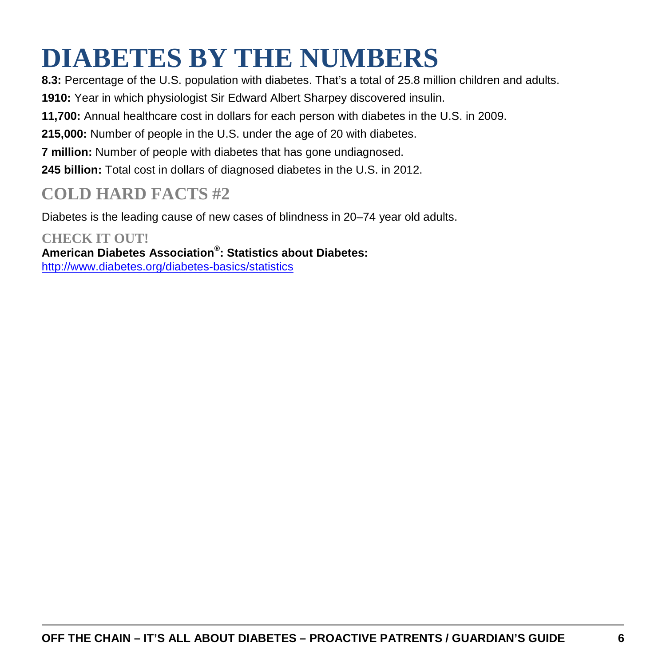# <span id="page-5-0"></span>**DIABETES BY THE NUMBERS**

**8.3:** Percentage of the U.S. population with diabetes. That's a total of 25.8 million children and adults.

**1910:** Year in which physiologist Sir Edward Albert Sharpey discovered insulin.

**11,700:** Annual healthcare cost in dollars for each person with diabetes in the U.S. in 2009.

**215,000:** Number of people in the U.S. under the age of 20 with diabetes.

**7 million:** Number of people with diabetes that has gone undiagnosed.

**245 billion:** Total cost in dollars of diagnosed diabetes in the U.S. in 2012.

## **COLD HARD FACTS #2**

Diabetes is the leading cause of new cases of blindness in 20–74 year old adults.

#### **CHECK IT OUT! American Diabetes Association® : Statistics about Diabetes:** <http://www.diabetes.org/diabetes-basics/statistics>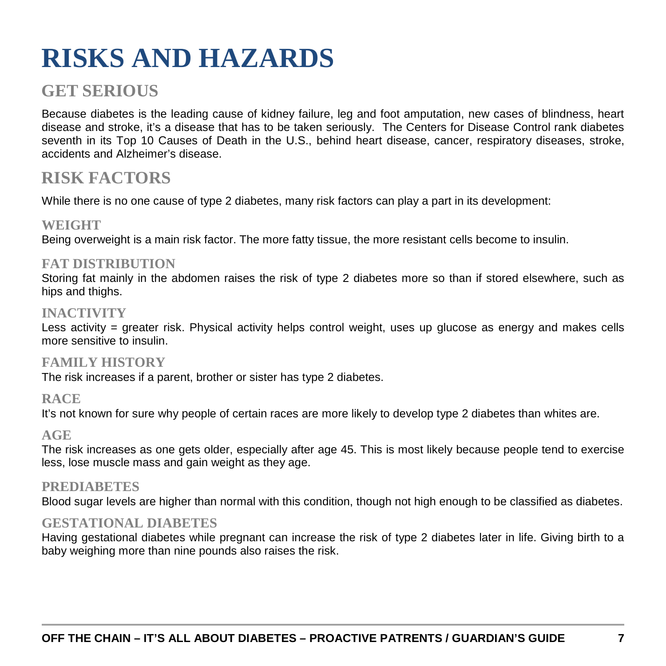# <span id="page-6-0"></span>**RISKS AND HAZARDS**

## **GET SERIOUS**

Because diabetes is the leading cause of kidney failure, leg and foot amputation, new cases of blindness, heart disease and stroke, it's a disease that has to be taken seriously. The Centers for Disease Control rank diabetes seventh in its Top 10 Causes of Death in the U.S., behind heart disease, cancer, respiratory diseases, stroke, accidents and Alzheimer's disease.

## **RISK FACTORS**

While there is no one cause of type 2 diabetes, many risk factors can play a part in its development:

### **WEIGHT**

Being overweight is a main risk factor. The more fatty tissue, the more resistant cells become to insulin.

### **FAT DISTRIBUTION**

Storing fat mainly in the abdomen raises the risk of type 2 diabetes more so than if stored elsewhere, such as hips and thighs.

### **INACTIVITY**

Less activity = greater risk. Physical activity helps control weight, uses up glucose as energy and makes cells more sensitive to insulin.

#### **FAMILY HISTORY**

The risk increases if a parent, brother or sister has type 2 diabetes.

### **RACE**

It's not known for sure why people of certain races are more likely to develop type 2 diabetes than whites are.

### **AGE**

The risk increases as one gets older, especially after age 45. This is most likely because people tend to exercise less, lose muscle mass and gain weight as they age.

### **PREDIABETES**

Blood sugar levels are higher than normal with this condition, though not high enough to be classified as diabetes.

### **GESTATIONAL DIABETES**

Having gestational diabetes while pregnant can increase the risk of type 2 diabetes later in life. Giving birth to a baby weighing more than nine pounds also raises the risk.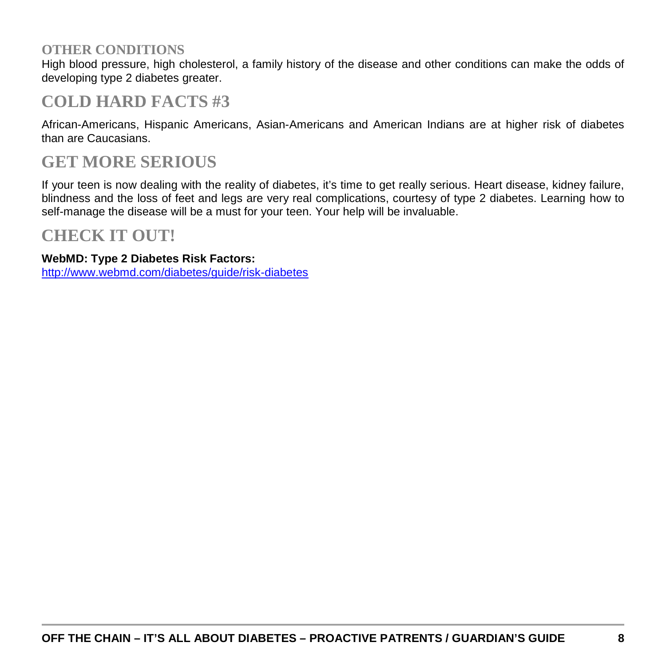### **OTHER CONDITIONS**

High blood pressure, high cholesterol, a family history of the disease and other conditions can make the odds of developing type 2 diabetes greater.

## **COLD HARD FACTS #3**

African-Americans, Hispanic Americans, Asian-Americans and American Indians are at higher risk of diabetes than are Caucasians.

## **GET MORE SERIOUS**

If your teen is now dealing with the reality of diabetes, it's time to get really serious. Heart disease, kidney failure, blindness and the loss of feet and legs are very real complications, courtesy of type 2 diabetes. Learning how to self-manage the disease will be a must for your teen. Your help will be invaluable.

## **CHECK IT OUT!**

#### **WebMD: Type 2 Diabetes Risk Factors:**

<http://www.webmd.com/diabetes/guide/risk-diabetes>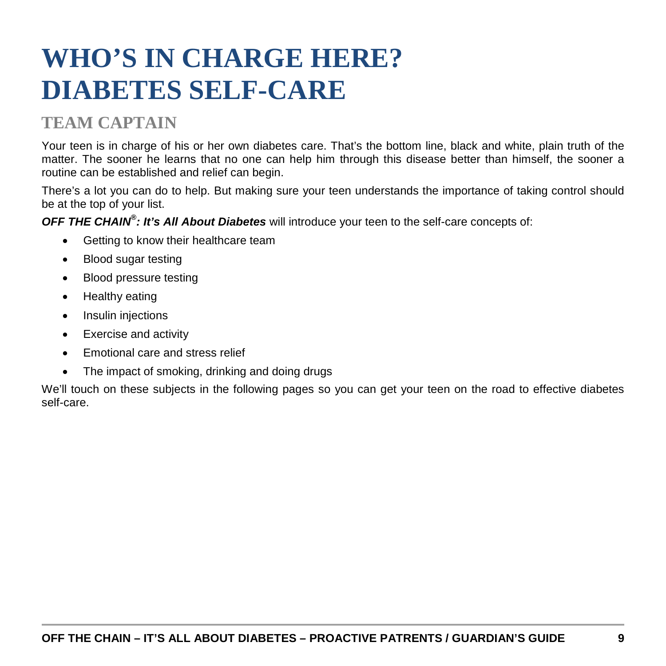# <span id="page-8-0"></span>**WHO'S IN CHARGE HERE? DIABETES SELF-CARE**

## **TEAM CAPTAIN**

Your teen is in charge of his or her own diabetes care. That's the bottom line, black and white, plain truth of the matter. The sooner he learns that no one can help him through this disease better than himself, the sooner a routine can be established and relief can begin.

There's a lot you can do to help. But making sure your teen understands the importance of taking control should be at the top of your list.

*OFF THE CHAIN® : It's All About Diabetes* will introduce your teen to the self-care concepts of:

- Getting to know their healthcare team
- Blood sugar testing
- Blood pressure testing
- Healthy eating
- Insulin injections
- Exercise and activity
- Emotional care and stress relief
- The impact of smoking, drinking and doing drugs

We'll touch on these subjects in the following pages so you can get your teen on the road to effective diabetes self-care.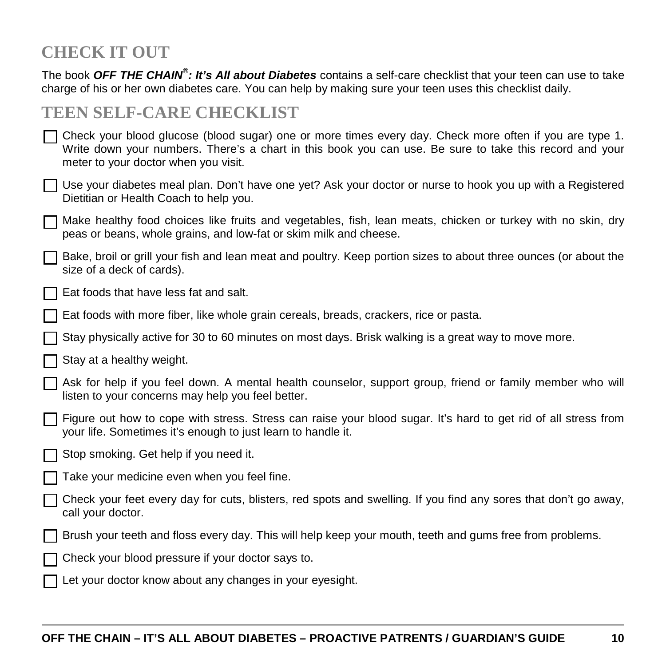## **CHECK IT OUT**

The book *OFF THE CHAIN® : It's All about Diabetes* contains a self-care checklist that your teen can use to take charge of his or her own diabetes care. You can help by making sure your teen uses this checklist daily.

## **TEEN SELF-CARE CHECKLIST**

| T Check your blood glucose (blood sugar) one or more times every day. Check more often if you are type 1. |
|-----------------------------------------------------------------------------------------------------------|
| Write down your numbers. There's a chart in this book you can use. Be sure to take this record and your   |
| meter to your doctor when you visit.                                                                      |

- Use your diabetes meal plan. Don't have one yet? Ask your doctor or nurse to hook you up with a Registered Dietitian or Health Coach to help you.
- Make healthy food choices like fruits and vegetables, fish, lean meats, chicken or turkey with no skin, dry peas or beans, whole grains, and low-fat or skim milk and cheese.
- Bake, broil or grill your fish and lean meat and poultry. Keep portion sizes to about three ounces (or about the size of a deck of cards).
- Eat foods that have less fat and salt.
- Eat foods with more fiber, like whole grain cereals, breads, crackers, rice or pasta.
- Stay physically active for 30 to 60 minutes on most days. Brisk walking is a great way to move more.
- Stay at a healthy weight.
- Ask for help if you feel down. A mental health counselor, support group, friend or family member who will listen to your concerns may help you feel better.
- Figure out how to cope with stress. Stress can raise your blood sugar. It's hard to get rid of all stress from your life. Sometimes it's enough to just learn to handle it.
- Stop smoking. Get help if you need it.
- Take your medicine even when you feel fine.
- Check your feet every day for cuts, blisters, red spots and swelling. If you find any sores that don't go away, call your doctor.
- Brush your teeth and floss every day. This will help keep your mouth, teeth and gums free from problems.
- Check your blood pressure if your doctor says to.
- Let your doctor know about any changes in your eyesight.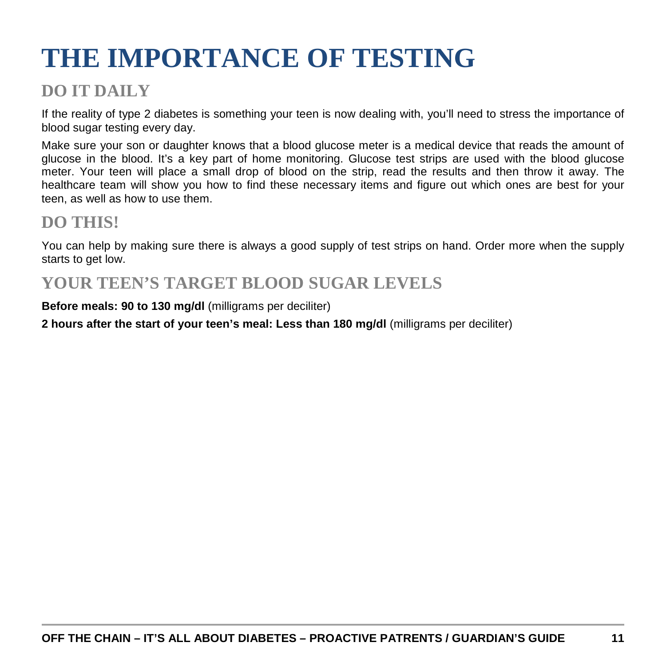# <span id="page-10-0"></span>**THE IMPORTANCE OF TESTING**

## **DO IT DAILY**

If the reality of type 2 diabetes is something your teen is now dealing with, you'll need to stress the importance of blood sugar testing every day.

Make sure your son or daughter knows that a blood glucose meter is a medical device that reads the amount of glucose in the blood. It's a key part of home monitoring. Glucose test strips are used with the blood glucose meter. Your teen will place a small drop of blood on the strip, read the results and then throw it away. The healthcare team will show you how to find these necessary items and figure out which ones are best for your teen, as well as how to use them.

## **DO THIS!**

You can help by making sure there is always a good supply of test strips on hand. Order more when the supply starts to get low.

## **YOUR TEEN'S TARGET BLOOD SUGAR LEVELS**

**Before meals: 90 to 130 mg/dl** (milligrams per deciliter)

**2 hours after the start of your teen's meal: Less than 180 mg/dl** (milligrams per deciliter)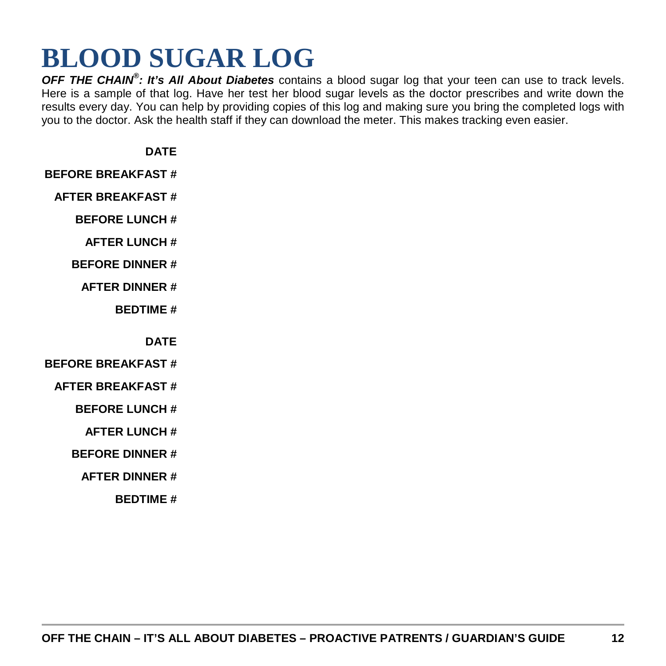# <span id="page-11-0"></span>**BLOOD SUGAR LOG**

*OFF THE CHAIN® : It's All About Diabetes* contains a blood sugar log that your teen can use to track levels. Here is a sample of that log. Have her test her blood sugar levels as the doctor prescribes and write down the results every day. You can help by providing copies of this log and making sure you bring the completed logs with you to the doctor. Ask the health staff if they can download the meter. This makes tracking even easier.

**DATE**

**BEFORE BREAKFAST #**

**AFTER BREAKFAST #**

**BEFORE LUNCH #**

- **AFTER LUNCH #**
- **BEFORE DINNER #**
	- **AFTER DINNER #**

**BEDTIME #**

**DATE**

- **BEFORE BREAKFAST #**
- **AFTER BREAKFAST #**

**BEFORE LUNCH #**

**AFTER LUNCH #**

**BEFORE DINNER #**

**AFTER DINNER #**

**BEDTIME #**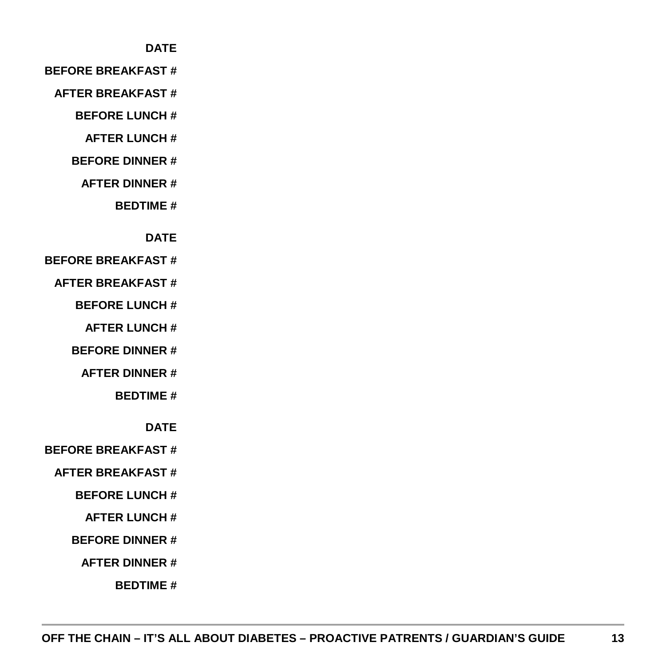#### **DATE**

#### **BEFORE BREAKFAST #**

- **AFTER BREAKFAST #**
	- **BEFORE LUNCH #**
		- **AFTER LUNCH #**
	- **BEFORE DINNER #**
		- **AFTER DINNER #**
			- **BEDTIME #**

#### **DATE**

#### **BEFORE BREAKFAST #**

- **AFTER BREAKFAST #**
	- **BEFORE LUNCH #**
		- **AFTER LUNCH #**
	- **BEFORE DINNER #**
		- **AFTER DINNER #**
			- **BEDTIME #**
				- **DATE**
- **BEFORE BREAKFAST #**
	- **AFTER BREAKFAST #**
		- **BEFORE LUNCH #**
			- **AFTER LUNCH #**
		- **BEFORE DINNER #**
			- **AFTER DINNER #**
				- **BEDTIME #**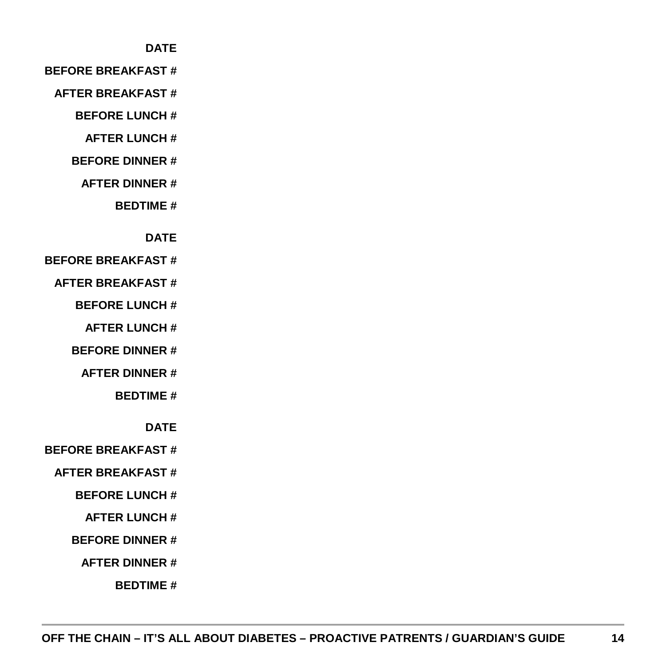#### **DATE**

#### **BEFORE BREAKFAST #**

- **AFTER BREAKFAST #**
	- **BEFORE LUNCH #**
		- **AFTER LUNCH #**
	- **BEFORE DINNER #**
		- **AFTER DINNER #**
			- **BEDTIME #**

#### **DATE**

#### **BEFORE BREAKFAST #**

- **AFTER BREAKFAST #**
	- **BEFORE LUNCH #**
		- **AFTER LUNCH #**
	- **BEFORE DINNER #**
		- **AFTER DINNER #**
			- **BEDTIME #**
				- **DATE**
- **BEFORE BREAKFAST #**
	- **AFTER BREAKFAST #**
		- **BEFORE LUNCH #**
			- **AFTER LUNCH #**
		- **BEFORE DINNER #**
			- **AFTER DINNER #**
				- **BEDTIME #**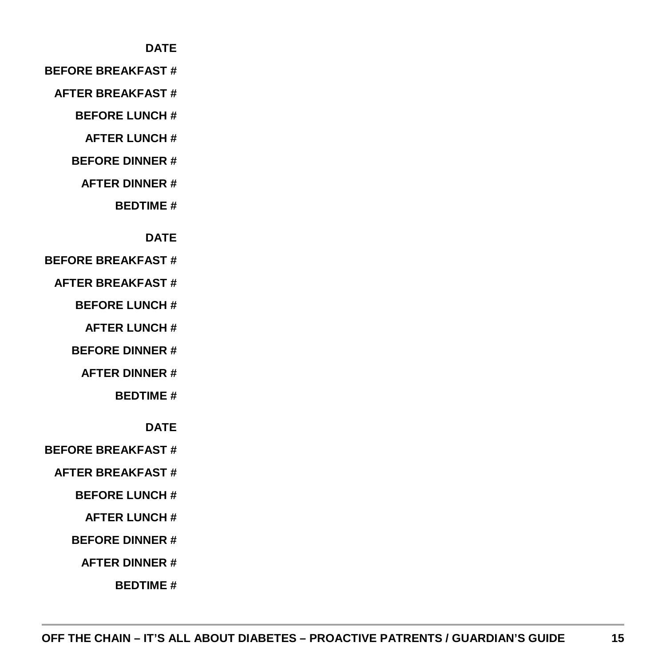#### **DATE**

#### **BEFORE BREAKFAST #**

- **AFTER BREAKFAST #**
	- **BEFORE LUNCH #**
		- **AFTER LUNCH #**
	- **BEFORE DINNER #**
		- **AFTER DINNER #**
			- **BEDTIME #**

#### **DATE**

#### **BEFORE BREAKFAST #**

- **AFTER BREAKFAST #**
	- **BEFORE LUNCH #**
		- **AFTER LUNCH #**
	- **BEFORE DINNER #**
		- **AFTER DINNER #**
			- **BEDTIME #**
				- **DATE**
- **BEFORE BREAKFAST #**
	- **AFTER BREAKFAST #**
		- **BEFORE LUNCH #**
			- **AFTER LUNCH #**
		- **BEFORE DINNER #**
			- **AFTER DINNER #**
				- **BEDTIME #**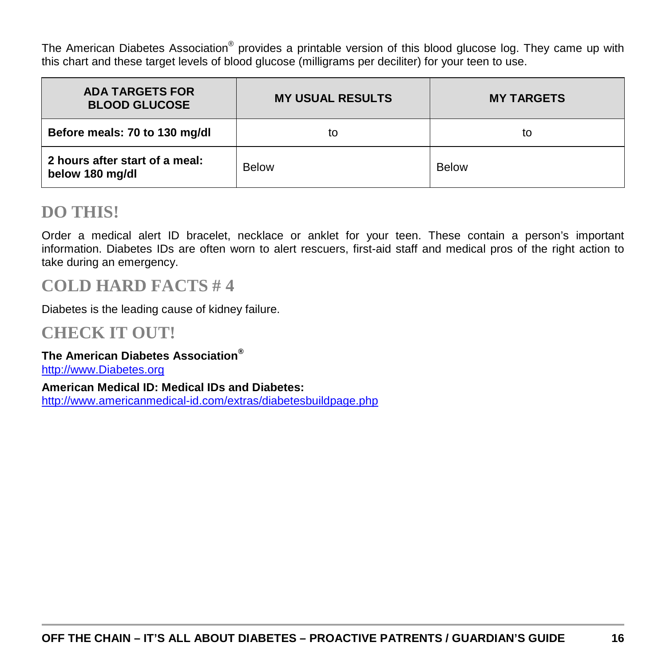The American Diabetes Association® provides a printable version of this blood glucose log. They came up with this chart and these target levels of blood glucose (milligrams per deciliter) for your teen to use.

| <b>ADA TARGETS FOR</b><br><b>BLOOD GLUCOSE</b>    | <b>MY USUAL RESULTS</b> | <b>MY TARGETS</b> |
|---------------------------------------------------|-------------------------|-------------------|
| Before meals: 70 to 130 mg/dl                     | to                      | to                |
| 2 hours after start of a meal:<br>below 180 mg/dl | <b>Below</b>            | <b>Below</b>      |

### **DO THIS!**

Order a medical alert ID bracelet, necklace or anklet for your teen. These contain a person's important information. Diabetes IDs are often worn to alert rescuers, first-aid staff and medical pros of the right action to take during an emergency.

## **COLD HARD FACTS # 4**

Diabetes is the leading cause of kidney failure.

### **CHECK IT OUT!**

#### **The American Diabetes Association®**

[http://www.Diabetes.org](http://www.diabetes.org/)

**American Medical ID: Medical IDs and Diabetes:** <http://www.americanmedical-id.com/extras/diabetesbuildpage.php>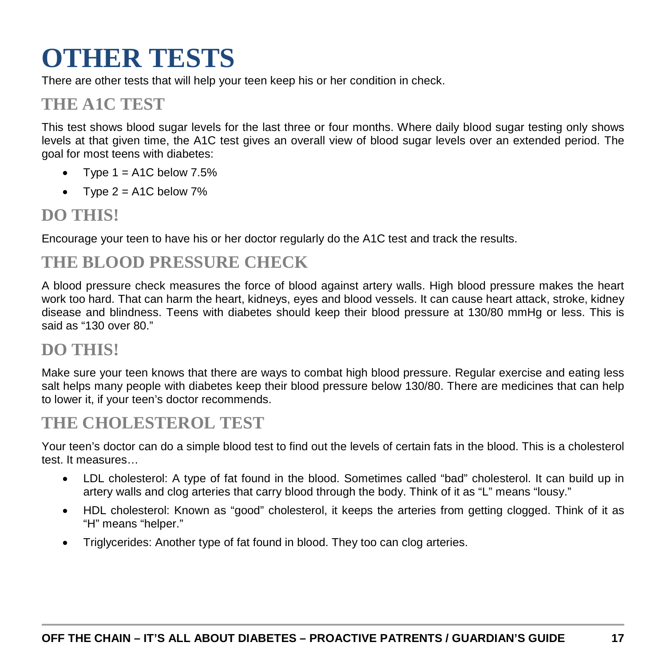# <span id="page-16-0"></span>**OTHER TESTS**

There are other tests that will help your teen keep his or her condition in check.

## **THE A1C TEST**

This test shows blood sugar levels for the last three or four months. Where daily blood sugar testing only shows levels at that given time, the A1C test gives an overall view of blood sugar levels over an extended period. The goal for most teens with diabetes:

- Type  $1 = A1C$  below  $7.5%$
- Type  $2 = A1C$  below  $7\%$

## **DO THIS!**

Encourage your teen to have his or her doctor regularly do the A1C test and track the results.

## **THE BLOOD PRESSURE CHECK**

A blood pressure check measures the force of blood against artery walls. High blood pressure makes the heart work too hard. That can harm the heart, kidneys, eyes and blood vessels. It can cause heart attack, stroke, kidney disease and blindness. Teens with diabetes should keep their blood pressure at 130/80 mmHg or less. This is said as "130 over 80."

## **DO THIS!**

Make sure your teen knows that there are ways to combat high blood pressure. Regular exercise and eating less salt helps many people with diabetes keep their blood pressure below 130/80. There are medicines that can help to lower it, if your teen's doctor recommends.

## **THE CHOLESTEROL TEST**

Your teen's doctor can do a simple blood test to find out the levels of certain fats in the blood. This is a cholesterol test. It measures…

- LDL cholesterol: A type of fat found in the blood. Sometimes called "bad" cholesterol. It can build up in artery walls and clog arteries that carry blood through the body. Think of it as "L" means "lousy."
- HDL cholesterol: Known as "good" cholesterol, it keeps the arteries from getting clogged. Think of it as "H" means "helper."
- Triglycerides: Another type of fat found in blood. They too can clog arteries.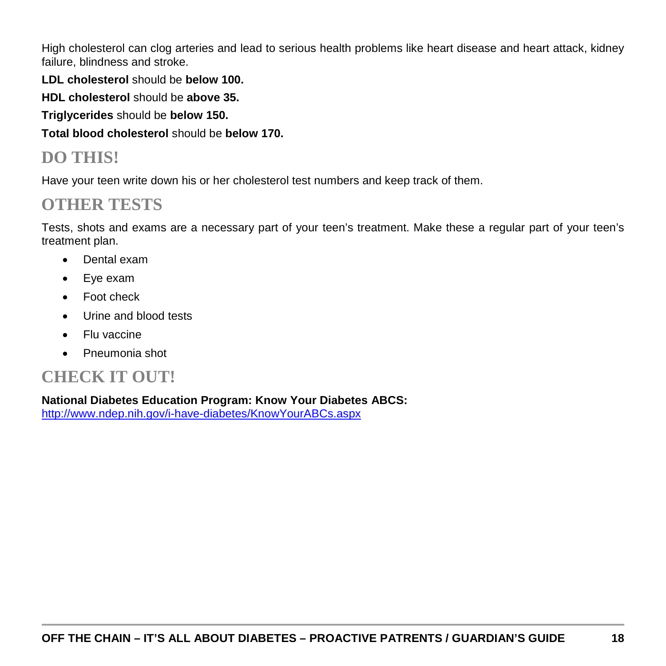High cholesterol can clog arteries and lead to serious health problems like heart disease and heart attack, kidney failure, blindness and stroke.

**LDL cholesterol** should be **below 100.**

**HDL cholesterol** should be **above 35.**

**Triglycerides** should be **below 150.**

**Total blood cholesterol** should be **below 170.**

## **DO THIS!**

Have your teen write down his or her cholesterol test numbers and keep track of them.

## **OTHER TESTS**

Tests, shots and exams are a necessary part of your teen's treatment. Make these a regular part of your teen's treatment plan.

- Dental exam
- Eye exam
- Foot check
- Urine and blood tests
- Flu vaccine
- Pneumonia shot

## **CHECK IT OUT!**

**National Diabetes Education Program: Know Your Diabetes ABCS:**

<http://www.ndep.nih.gov/i-have-diabetes/KnowYourABCs.aspx>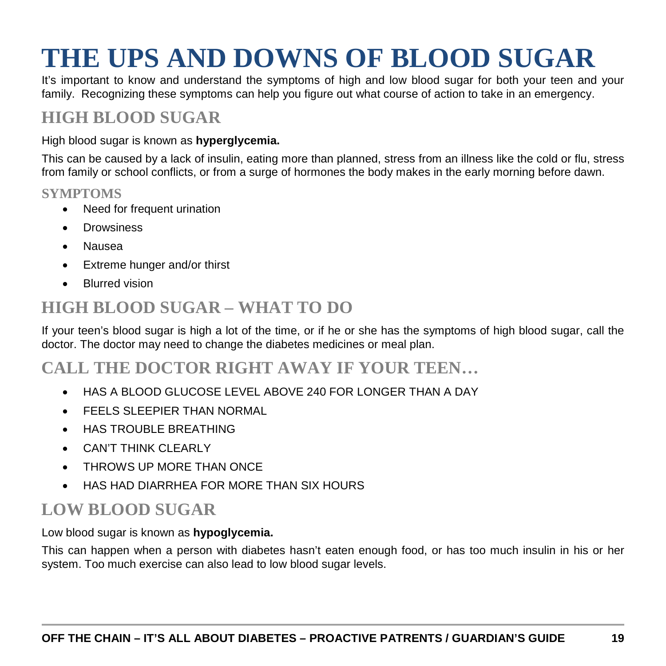# <span id="page-18-0"></span>**THE UPS AND DOWNS OF BLOOD SUGAR**

It's important to know and understand the symptoms of high and low blood sugar for both your teen and your family. Recognizing these symptoms can help you figure out what course of action to take in an emergency.

## **HIGH BLOOD SUGAR**

#### High blood sugar is known as **hyperglycemia.**

This can be caused by a lack of insulin, eating more than planned, stress from an illness like the cold or flu, stress from family or school conflicts, or from a surge of hormones the body makes in the early morning before dawn.

#### **SYMPTOMS**

- Need for frequent urination
- Drowsiness
- Nausea
- Extreme hunger and/or thirst
- Blurred vision

## **HIGH BLOOD SUGAR – WHAT TO DO**

If your teen's blood sugar is high a lot of the time, or if he or she has the symptoms of high blood sugar, call the doctor. The doctor may need to change the diabetes medicines or meal plan.

## **CALL THE DOCTOR RIGHT AWAY IF YOUR TEEN…**

- HAS A BLOOD GLUCOSE LEVEL ABOVE 240 FOR LONGER THAN A DAY
- FEELS SLEEPIER THAN NORMAL
- HAS TROUBLE BREATHING
- CAN'T THINK CI FARI Y
- THROWS UP MORE THAN ONCE
- HAS HAD DIARRHEA FOR MORE THAN SIX HOURS

## **LOW BLOOD SUGAR**

Low blood sugar is known as **hypoglycemia.**

This can happen when a person with diabetes hasn't eaten enough food, or has too much insulin in his or her system. Too much exercise can also lead to low blood sugar levels.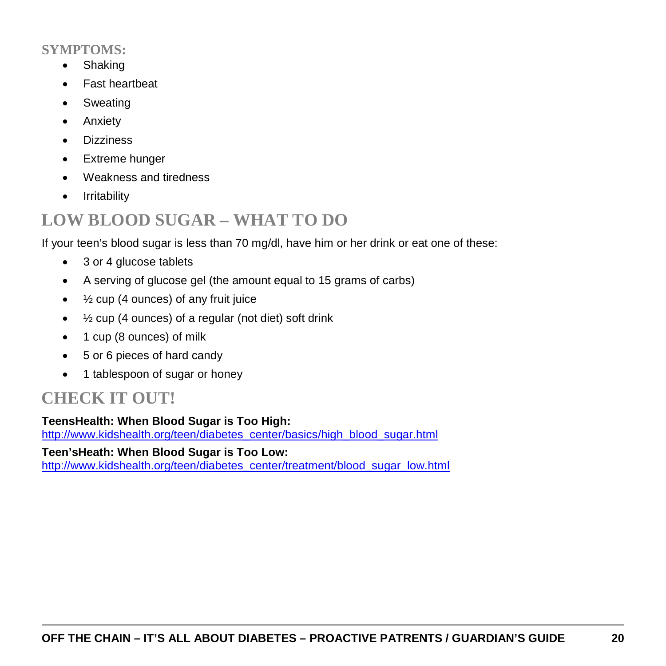### **SYMPTOMS:**

- Shaking
- Fast heartbeat
- Sweating
- Anxiety
- Dizziness
- Extreme hunger
- Weakness and tiredness
- Irritability

## **LOW BLOOD SUGAR – WHAT TO DO**

If your teen's blood sugar is less than 70 mg/dl, have him or her drink or eat one of these:

- 3 or 4 glucose tablets
- A serving of glucose gel (the amount equal to 15 grams of carbs)
- $\bullet$   $\frac{1}{2}$  cup (4 ounces) of any fruit juice
- ½ cup (4 ounces) of a regular (not diet) soft drink
- 1 cup (8 ounces) of milk
- 5 or 6 pieces of hard candy
- 1 tablespoon of sugar or honey

## **CHECK IT OUT!**

### **TeensHealth: When Blood Sugar is Too High:**

[http://www.kidshealth.org/teen/diabetes\\_center/basics/high\\_blood\\_sugar.html](http://www.kidshealth.org/teen/diabetes_center/basics/high_blood_sugar.html)

**Teen'sHeath: When Blood Sugar is Too Low:**

[http://www.kidshealth.org/teen/diabetes\\_center/treatment/blood\\_sugar\\_low.html](http://www.kidshealth.org/teen/diabetes_center/treatment/blood_sugar_low.html)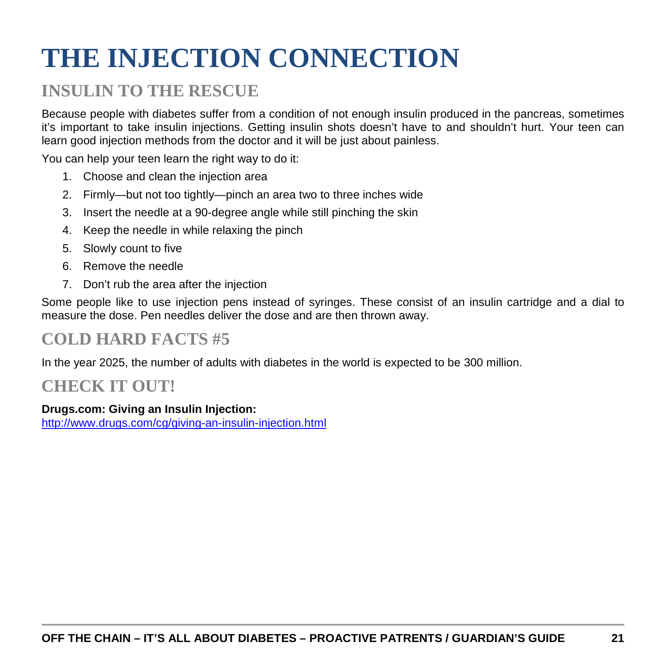# <span id="page-20-0"></span>**THE INJECTION CONNECTION**

## **INSULIN TO THE RESCUE**

Because people with diabetes suffer from a condition of not enough insulin produced in the pancreas, sometimes it's important to take insulin injections. Getting insulin shots doesn't have to and shouldn't hurt. Your teen can learn good injection methods from the doctor and it will be just about painless.

You can help your teen learn the right way to do it:

- 1. Choose and clean the injection area
- 2. Firmly—but not too tightly—pinch an area two to three inches wide
- 3. Insert the needle at a 90-degree angle while still pinching the skin
- 4. Keep the needle in while relaxing the pinch
- 5. Slowly count to five
- 6. Remove the needle
- 7. Don't rub the area after the injection

Some people like to use injection pens instead of syringes. These consist of an insulin cartridge and a dial to measure the dose. Pen needles deliver the dose and are then thrown away.

## **COLD HARD FACTS #5**

In the year 2025, the number of adults with diabetes in the world is expected to be 300 million.

## **CHECK IT OUT!**

#### **Drugs.com: Giving an Insulin Injection:**

<http://www.drugs.com/cg/giving-an-insulin-injection.html>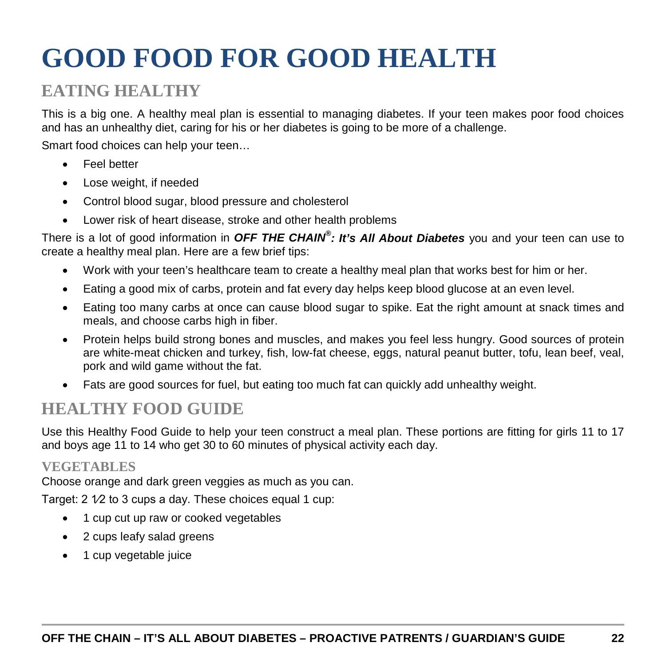# <span id="page-21-0"></span>**GOOD FOOD FOR GOOD HEALTH**

## **EATING HEALTHY**

This is a big one. A healthy meal plan is essential to managing diabetes. If your teen makes poor food choices and has an unhealthy diet, caring for his or her diabetes is going to be more of a challenge.

Smart food choices can help your teen…

- Feel better
- Lose weight, if needed
- Control blood sugar, blood pressure and cholesterol
- Lower risk of heart disease, stroke and other health problems

There is a lot of good information in *OFF THE CHAIN® : It's All About Diabetes* you and your teen can use to create a healthy meal plan. Here are a few brief tips:

- Work with your teen's healthcare team to create a healthy meal plan that works best for him or her.
- Eating a good mix of carbs, protein and fat every day helps keep blood glucose at an even level.
- Eating too many carbs at once can cause blood sugar to spike. Eat the right amount at snack times and meals, and choose carbs high in fiber.
- Protein helps build strong bones and muscles, and makes you feel less hungry. Good sources of protein are white-meat chicken and turkey, fish, low-fat cheese, eggs, natural peanut butter, tofu, lean beef, veal, pork and wild game without the fat.
- Fats are good sources for fuel, but eating too much fat can quickly add unhealthy weight.

## **HEALTHY FOOD GUIDE**

Use this Healthy Food Guide to help your teen construct a meal plan. These portions are fitting for girls 11 to 17 and boys age 11 to 14 who get 30 to 60 minutes of physical activity each day.

### **VEGETABLES**

Choose orange and dark green veggies as much as you can.

Target: 2 1/2 to 3 cups a day. These choices equal 1 cup:

- 1 cup cut up raw or cooked vegetables
- 2 cups leafy salad greens
- 1 cup vegetable juice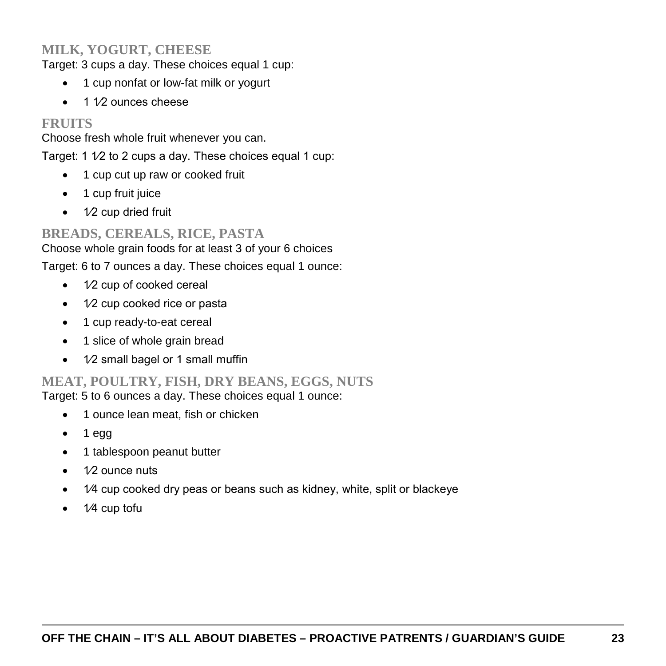### **MILK, YOGURT, CHEESE**

Target: 3 cups a day. These choices equal 1 cup:

- 1 cup nonfat or low-fat milk or yogurt
- 1 1⁄2 ounces cheese

### **FRUITS**

Choose fresh whole fruit whenever you can.

Target: 1 1/2 to 2 cups a day. These choices equal 1 cup:

- 1 cup cut up raw or cooked fruit
- 1 cup fruit juice
- $\bullet$  1⁄2 cup dried fruit

### **BREADS, CEREALS, RICE, PASTA**

Choose whole grain foods for at least 3 of your 6 choices

Target: 6 to 7 ounces a day. These choices equal 1 ounce:

- 1⁄2 cup of cooked cereal
- 1⁄2 cup cooked rice or pasta
- 1 cup ready-to-eat cereal
- 1 slice of whole grain bread
- 1⁄2 small bagel or 1 small muffin

### **MEAT, POULTRY, FISH, DRY BEANS, EGGS, NUTS**

Target: 5 to 6 ounces a day. These choices equal 1 ounce:

- 1 ounce lean meat, fish or chicken
- $\bullet$  1 egg
- 1 tablespoon peanut butter
- 1⁄2 ounce nuts
- 1/4 cup cooked dry peas or beans such as kidney, white, split or blackeye
- 1⁄4 cup tofu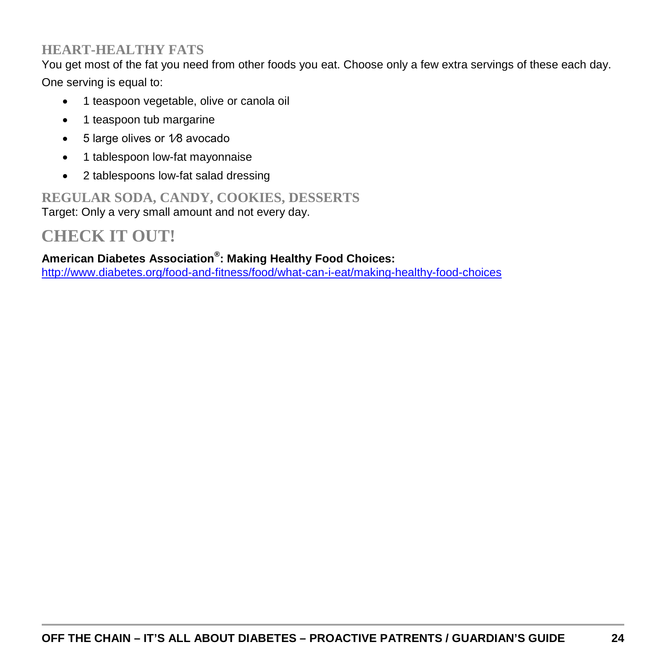### **HEART-HEALTHY FATS**

You get most of the fat you need from other foods you eat. Choose only a few extra servings of these each day. One serving is equal to:

- 1 teaspoon vegetable, olive or canola oil
- 1 teaspoon tub margarine
- 5 large olives or 1⁄8 avocado
- 1 tablespoon low-fat mayonnaise
- 2 tablespoons low-fat salad dressing

#### **REGULAR SODA, CANDY, COOKIES, DESSERTS** Target: Only a very small amount and not every day.

## **CHECK IT OUT!**

#### **American Diabetes Association® : Making Healthy Food Choices:**

<http://www.diabetes.org/food-and-fitness/food/what-can-i-eat/making-healthy-food-choices>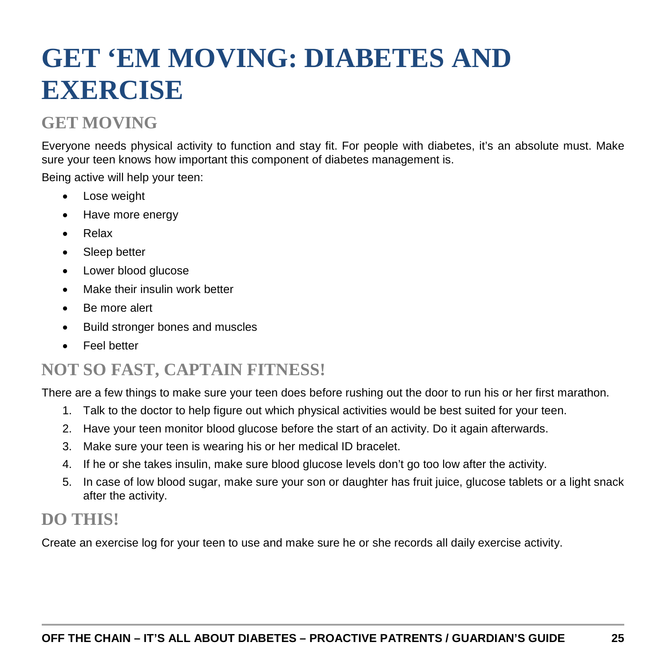# <span id="page-24-0"></span>**GET 'EM MOVING: DIABETES AND EXERCISE**

## **GET MOVING**

Everyone needs physical activity to function and stay fit. For people with diabetes, it's an absolute must. Make sure your teen knows how important this component of diabetes management is.

Being active will help your teen:

- Lose weight
- Have more energy
- Relax
- Sleep better
- Lower blood glucose
- Make their insulin work better
- Be more alert
- Build stronger bones and muscles
- Feel better

## **NOT SO FAST, CAPTAIN FITNESS!**

There are a few things to make sure your teen does before rushing out the door to run his or her first marathon.

- 1. Talk to the doctor to help figure out which physical activities would be best suited for your teen.
- 2. Have your teen monitor blood glucose before the start of an activity. Do it again afterwards.
- 3. Make sure your teen is wearing his or her medical ID bracelet.
- 4. If he or she takes insulin, make sure blood glucose levels don't go too low after the activity.
- 5. In case of low blood sugar, make sure your son or daughter has fruit juice, glucose tablets or a light snack after the activity.

## **DO THIS!**

Create an exercise log for your teen to use and make sure he or she records all daily exercise activity.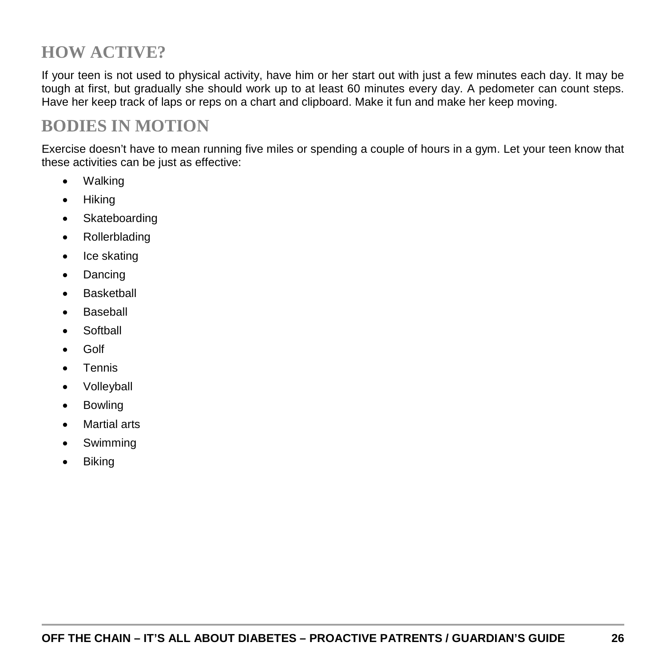## **HOW ACTIVE?**

If your teen is not used to physical activity, have him or her start out with just a few minutes each day. It may be tough at first, but gradually she should work up to at least 60 minutes every day. A pedometer can count steps. Have her keep track of laps or reps on a chart and clipboard. Make it fun and make her keep moving.

## **BODIES IN MOTION**

Exercise doesn't have to mean running five miles or spending a couple of hours in a gym. Let your teen know that these activities can be just as effective:

- Walking
- Hiking
- Skateboarding
- Rollerblading
- Ice skating
- Dancing
- Basketball
- Baseball
- **Softball**
- Golf
- Tennis
- Volleyball
- Bowling
- Martial arts
- Swimming
- Biking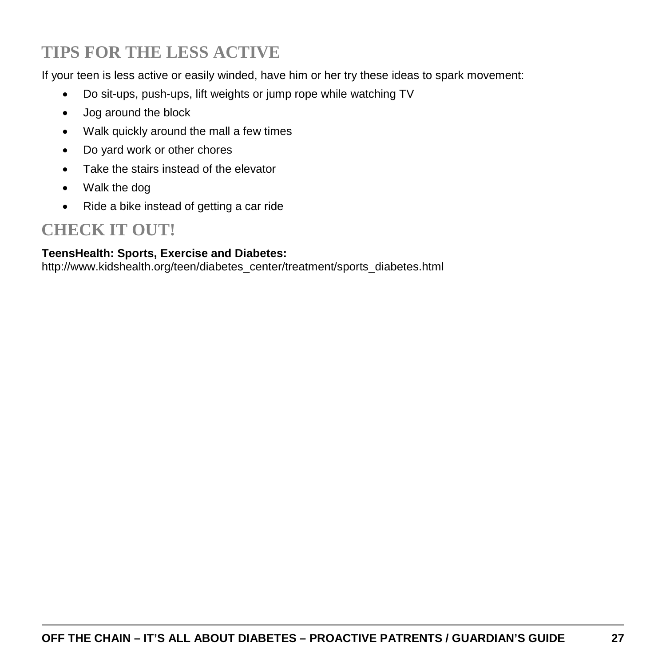## **TIPS FOR THE LESS ACTIVE**

If your teen is less active or easily winded, have him or her try these ideas to spark movement:

- Do sit-ups, push-ups, lift weights or jump rope while watching TV
- Jog around the block
- Walk quickly around the mall a few times
- Do yard work or other chores
- Take the stairs instead of the elevator
- Walk the dog
- Ride a bike instead of getting a car ride

## **CHECK IT OUT!**

#### **TeensHealth: Sports, Exercise and Diabetes:**

http://www.kidshealth.org/teen/diabetes\_center/treatment/sports\_diabetes.html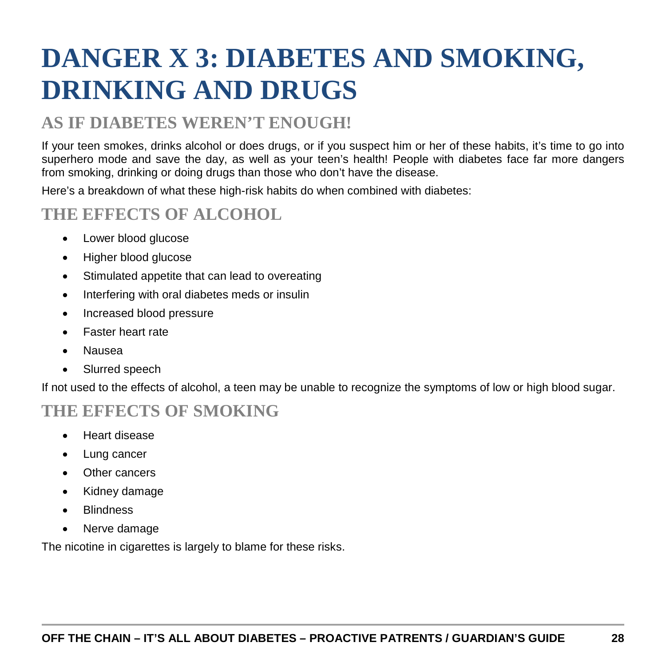# <span id="page-27-0"></span>**DANGER X 3: DIABETES AND SMOKING, DRINKING AND DRUGS**

## **AS IF DIABETES WEREN'T ENOUGH!**

If your teen smokes, drinks alcohol or does drugs, or if you suspect him or her of these habits, it's time to go into superhero mode and save the day, as well as your teen's health! People with diabetes face far more dangers from smoking, drinking or doing drugs than those who don't have the disease.

Here's a breakdown of what these high-risk habits do when combined with diabetes:

## **THE EFFECTS OF ALCOHOL**

- Lower blood glucose
- Higher blood glucose
- Stimulated appetite that can lead to overeating
- Interfering with oral diabetes meds or insulin
- Increased blood pressure
- Faster heart rate
- Nausea
- Slurred speech

If not used to the effects of alcohol, a teen may be unable to recognize the symptoms of low or high blood sugar.

## **THE EFFECTS OF SMOKING**

- Heart disease
- Lung cancer
- Other cancers
- Kidney damage
- **Blindness**
- Nerve damage

The nicotine in cigarettes is largely to blame for these risks.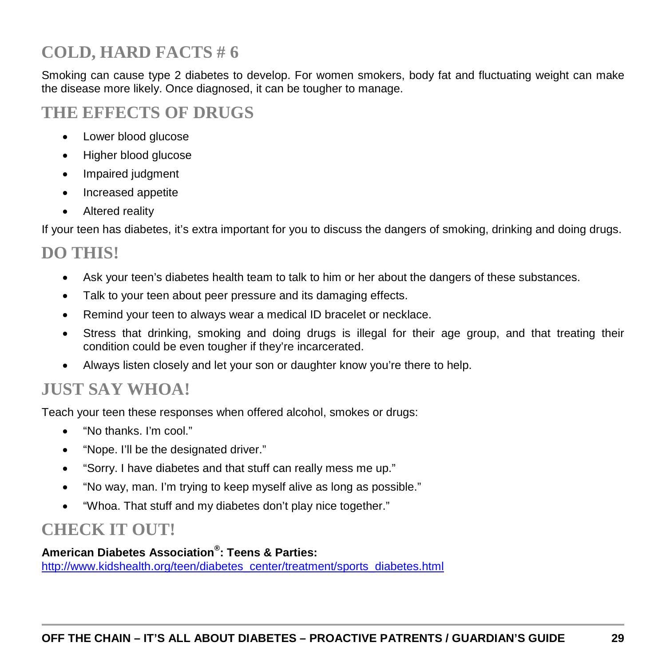## **COLD, HARD FACTS # 6**

Smoking can cause type 2 diabetes to develop. For women smokers, body fat and fluctuating weight can make the disease more likely. Once diagnosed, it can be tougher to manage.

## **THE EFFECTS OF DRUGS**

- Lower blood glucose
- Higher blood glucose
- Impaired judgment
- Increased appetite
- Altered reality

If your teen has diabetes, it's extra important for you to discuss the dangers of smoking, drinking and doing drugs.

## **DO THIS!**

- Ask your teen's diabetes health team to talk to him or her about the dangers of these substances.
- Talk to your teen about peer pressure and its damaging effects.
- Remind your teen to always wear a medical ID bracelet or necklace.
- Stress that drinking, smoking and doing drugs is illegal for their age group, and that treating their condition could be even tougher if they're incarcerated.
- Always listen closely and let your son or daughter know you're there to help.

## **JUST SAY WHOA!**

Teach your teen these responses when offered alcohol, smokes or drugs:

- "No thanks. I'm cool."
- "Nope. I'll be the designated driver."
- "Sorry. I have diabetes and that stuff can really mess me up."
- "No way, man. I'm trying to keep myself alive as long as possible."
- "Whoa. That stuff and my diabetes don't play nice together."

## **CHECK IT OUT!**

### **American Diabetes Association® : Teens & Parties:**

[http://www.kidshealth.org/teen/diabetes\\_center/treatment/sports\\_diabetes.html](http://www.kidshealth.org/teen/diabetes_center/treatment/sports_diabetes.html)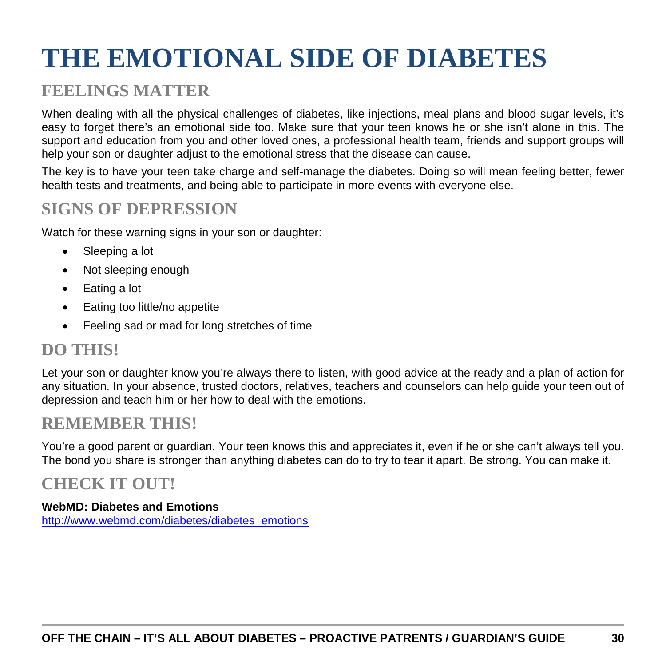# <span id="page-29-0"></span>**THE EMOTIONAL SIDE OF DIABETES**

## **FEELINGS MATTER**

When dealing with all the physical challenges of diabetes, like injections, meal plans and blood sugar levels, it's easy to forget there's an emotional side too. Make sure that your teen knows he or she isn't alone in this. The support and education from you and other loved ones, a professional health team, friends and support groups will help your son or daughter adjust to the emotional stress that the disease can cause.

The key is to have your teen take charge and self-manage the diabetes. Doing so will mean feeling better, fewer health tests and treatments, and being able to participate in more events with everyone else.

## **SIGNS OF DEPRESSION**

Watch for these warning signs in your son or daughter:

- Sleeping a lot
- Not sleeping enough
- Eating a lot
- Eating too little/no appetite
- Feeling sad or mad for long stretches of time

## **DO THIS!**

Let your son or daughter know you're always there to listen, with good advice at the ready and a plan of action for any situation. In your absence, trusted doctors, relatives, teachers and counselors can help guide your teen out of depression and teach him or her how to deal with the emotions.

## **REMEMBER THIS!**

You're a good parent or guardian. Your teen knows this and appreciates it, even if he or she can't always tell you. The bond you share is stronger than anything diabetes can do to try to tear it apart. Be strong. You can make it.

## **CHECK IT OUT!**

#### **WebMD: Diabetes and Emotions**

[http://www.webmd.com/diabetes/diabetes\\_emotions](http://www.webmd.com/diabetes/diabetes_emotions)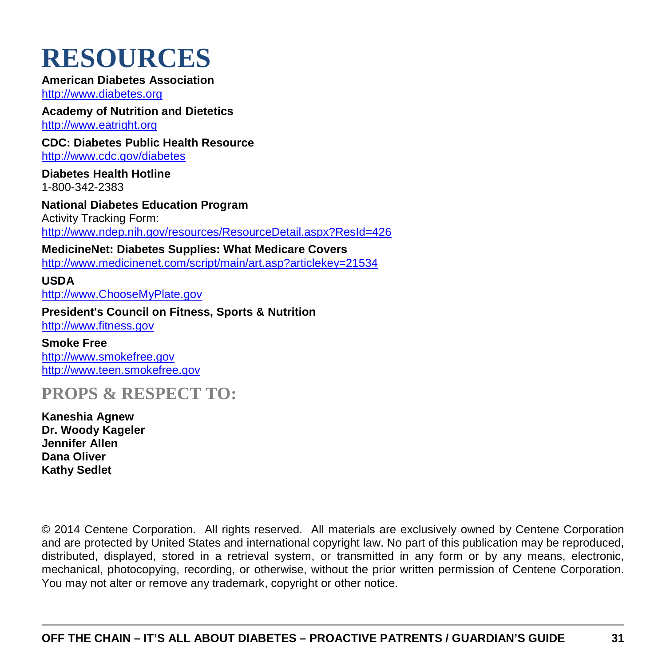## <span id="page-30-0"></span>**RESOURCES**

#### **American Diabetes Association**

[http://www.diabetes.org](http://www.diabetes.org/)

**Academy of Nutrition and Dietetics** [http://www.eatright.org](http://www.eatright.org/)

**CDC: Diabetes Public Health Resource**

<http://www.cdc.gov/diabetes>

**Diabetes Health Hotline** 1-800-342-2383

**National Diabetes Education Program** Activity Tracking Form: <http://www.ndep.nih.gov/resources/ResourceDetail.aspx?ResId=426>

**MedicineNet: Diabetes Supplies: What Medicare Covers** <http://www.medicinenet.com/script/main/art.asp?articlekey=21534>

**USDA** [http://www.ChooseMyPlate.gov](http://www.choosemyplate.gov/)

**President's Council on Fitness, Sports & Nutrition**

[http://www.fitness.gov](http://www.fitness.gov/)

**Smoke Free** [http://www.smokefree.gov](http://www.smokefree.gov/) [http://www.teen.smokefree.gov](http://www.teen.smokefree.gov/)

**PROPS & RESPECT TO:**

**Kaneshia Agnew Dr. Woody Kageler Jennifer Allen Dana Oliver Kathy Sedlet**

© 2014 Centene Corporation. All rights reserved. All materials are exclusively owned by Centene Corporation and are protected by United States and international copyright law. No part of this publication may be reproduced, distributed, displayed, stored in a retrieval system, or transmitted in any form or by any means, electronic, mechanical, photocopying, recording, or otherwise, without the prior written permission of Centene Corporation. You may not alter or remove any trademark, copyright or other notice.